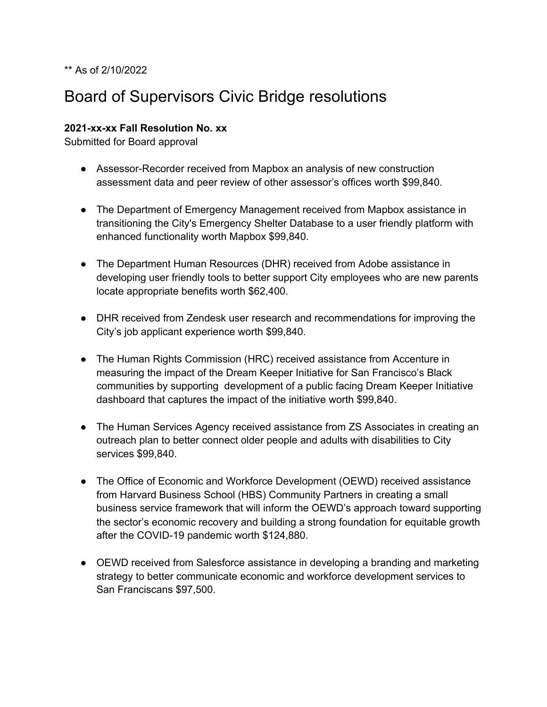#### \*\* As of 2/10/2022

# Board of Supervisors Civic Bridge resolutions

#### **2021-xx-xx Fall Resolution No. xx**

Submitted for Board approval

- Assessor-Recorder received from Mapbox an analysis of new construction assessment data and peer review of other assessor's offices worth \$99,840.
- The Department of Emergency Management received from Mapbox assistance in transitioning the City's Emergency Shelter Database to a user friendly platform with enhanced functionality worth Mapbox \$99,840.
- The Department Human Resources (DHR) received from Adobe assistance in developing user friendly tools to better support City employees who are new parents locate appropriate benefits worth \$62,400.
- DHR received from Zendesk user research and recommendations for improving the City's job applicant experience worth \$99,840.
- The Human Rights Commission (HRC) received assistance from Accenture in measuring the impact of the Dream Keeper Initiative for San Francisco's Black communities by supporting development of a public facing Dream Keeper Initiative dashboard that captures the impact of the initiative worth \$99,840.
- The Human Services Agency received assistance from ZS Associates in creating an outreach plan to better connect older people and adults with disabilities to City services \$99,840.
- The Office of Economic and Workforce Development (OEWD) received assistance from Harvard Business School (HBS) Community Partners in creating a small business service framework that will inform the OEWD's approach toward supporting the sector's economic recovery and building a strong foundation for equitable growth after the COVID-19 pandemic worth \$124,880.
- OEWD received from Salesforce assistance in developing a branding and marketing strategy to better communicate economic and workforce development services to San Franciscans \$97,500.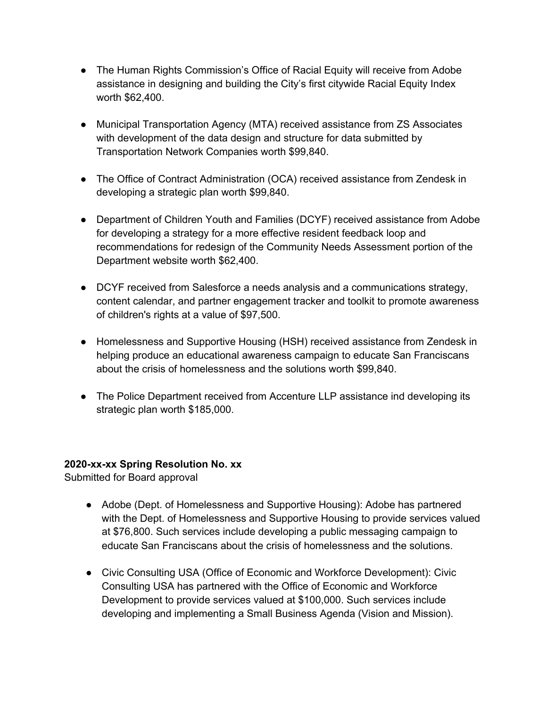- The Human Rights Commission's Office of Racial Equity will receive from Adobe assistance in designing and building the City's first citywide Racial Equity Index worth \$62,400.
- Municipal Transportation Agency (MTA) received assistance from ZS Associates with development of the data design and structure for data submitted by Transportation Network Companies worth \$99,840.
- The Office of Contract Administration (OCA) received assistance from Zendesk in developing a strategic plan worth \$99,840.
- Department of Children Youth and Families (DCYF) received assistance from Adobe for developing a strategy for a more effective resident feedback loop and recommendations for redesign of the Community Needs Assessment portion of the Department website worth \$62,400.
- DCYF received from Salesforce a needs analysis and a communications strategy, content calendar, and partner engagement tracker and toolkit to promote awareness of children's rights at a value of \$97,500.
- Homelessness and Supportive Housing (HSH) received assistance from Zendesk in helping produce an educational awareness campaign to educate San Franciscans about the crisis of homelessness and the solutions worth \$99,840.
- The Police Department received from Accenture LLP assistance ind developing its strategic plan worth \$185,000.

### **2020-xx-xx Spring Resolution No. xx**

Submitted for Board approval

- Adobe (Dept. of Homelessness and Supportive Housing): Adobe has partnered with the Dept. of Homelessness and Supportive Housing to provide services valued at \$76,800. Such services include developing a public messaging campaign to educate San Franciscans about the crisis of homelessness and the solutions.
- Civic Consulting USA (Office of Economic and Workforce Development): Civic Consulting USA has partnered with the Office of Economic and Workforce Development to provide services valued at \$100,000. Such services include developing and implementing a Small Business Agenda (Vision and Mission).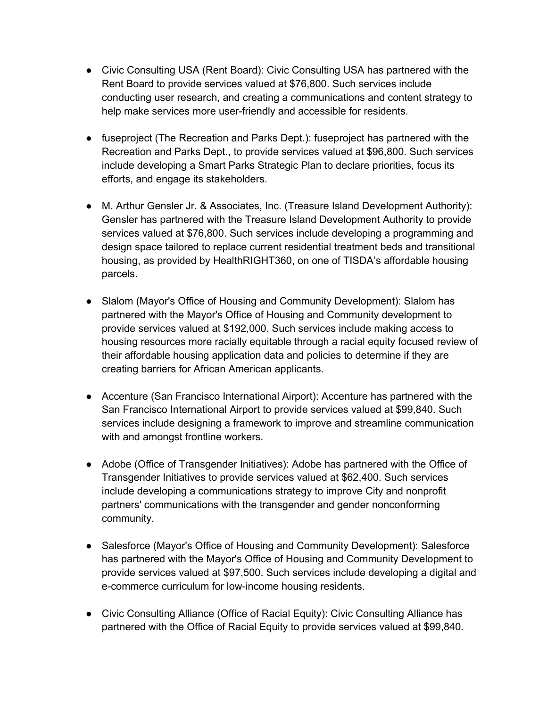- Civic Consulting USA (Rent Board): Civic Consulting USA has partnered with the Rent Board to provide services valued at \$76,800. Such services include conducting user research, and creating a communications and content strategy to help make services more user-friendly and accessible for residents.
- fuseproject (The Recreation and Parks Dept.): fuseproject has partnered with the Recreation and Parks Dept., to provide services valued at \$96,800. Such services include developing a Smart Parks Strategic Plan to declare priorities, focus its efforts, and engage its stakeholders.
- M. Arthur Gensler Jr. & Associates, Inc. (Treasure Island Development Authority): Gensler has partnered with the Treasure Island Development Authority to provide services valued at \$76,800. Such services include developing a programming and design space tailored to replace current residential treatment beds and transitional housing, as provided by HealthRIGHT360, on one of TISDA's affordable housing parcels.
- Slalom (Mayor's Office of Housing and Community Development): Slalom has partnered with the Mayor's Office of Housing and Community development to provide services valued at \$192,000. Such services include making access to housing resources more racially equitable through a racial equity focused review of their affordable housing application data and policies to determine if they are creating barriers for African American applicants.
- Accenture (San Francisco International Airport): Accenture has partnered with the San Francisco International Airport to provide services valued at \$99,840. Such services include designing a framework to improve and streamline communication with and amongst frontline workers.
- Adobe (Office of Transgender Initiatives): Adobe has partnered with the Office of Transgender Initiatives to provide services valued at \$62,400. Such services include developing a communications strategy to improve City and nonprofit partners' communications with the transgender and gender nonconforming community.
- Salesforce (Mayor's Office of Housing and Community Development): Salesforce has partnered with the Mayor's Office of Housing and Community Development to provide services valued at \$97,500. Such services include developing a digital and e-commerce curriculum for low-income housing residents.
- Civic Consulting Alliance (Office of Racial Equity): Civic Consulting Alliance has partnered with the Office of Racial Equity to provide services valued at \$99,840.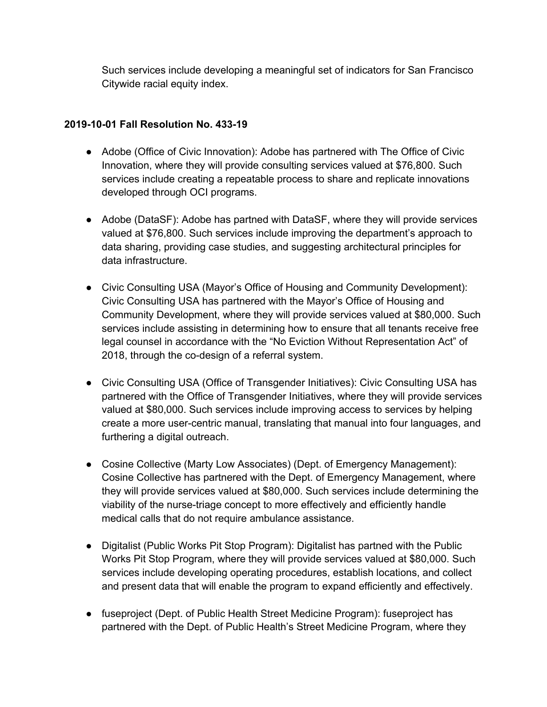Such services include developing a meaningful set of indicators for San Francisco Citywide racial equity index.

## **2019-10-01 Fall Resolution No. 433-19**

- Adobe (Office of Civic Innovation): Adobe has partnered with The Office of Civic Innovation, where they will provide consulting services valued at \$76,800. Such services include creating a repeatable process to share and replicate innovations developed through OCI programs.
- Adobe (DataSF): Adobe has partned with DataSF, where they will provide services valued at \$76,800. Such services include improving the department's approach to data sharing, providing case studies, and suggesting architectural principles for data infrastructure.
- Civic Consulting USA (Mayor's Office of Housing and Community Development): Civic Consulting USA has partnered with the Mayor's Office of Housing and Community Development, where they will provide services valued at \$80,000. Such services include assisting in determining how to ensure that all tenants receive free legal counsel in accordance with the "No Eviction Without Representation Act" of 2018, through the co-design of a referral system.
- Civic Consulting USA (Office of Transgender Initiatives): Civic Consulting USA has partnered with the Office of Transgender Initiatives, where they will provide services valued at \$80,000. Such services include improving access to services by helping create a more user-centric manual, translating that manual into four languages, and furthering a digital outreach.
- Cosine Collective (Marty Low Associates) (Dept. of Emergency Management): Cosine Collective has partnered with the Dept. of Emergency Management, where they will provide services valued at \$80,000. Such services include determining the viability of the nurse-triage concept to more effectively and efficiently handle medical calls that do not require ambulance assistance.
- Digitalist (Public Works Pit Stop Program): Digitalist has partned with the Public Works Pit Stop Program, where they will provide services valued at \$80,000. Such services include developing operating procedures, establish locations, and collect and present data that will enable the program to expand efficiently and effectively.
- fuseproject (Dept. of Public Health Street Medicine Program): fuseproject has partnered with the Dept. of Public Health's Street Medicine Program, where they